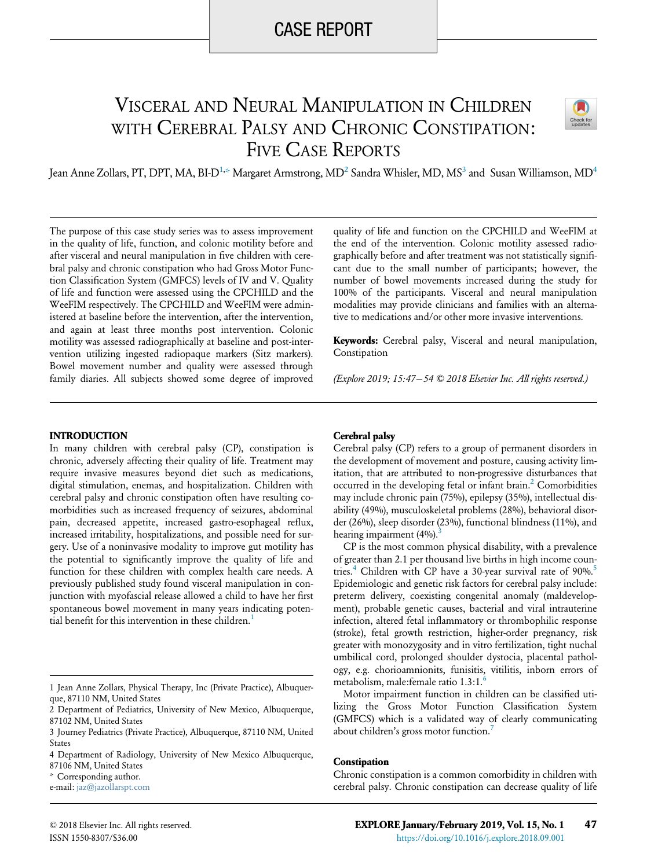## CASE REPORT

# VISCERAL AND NEURAL MANIPULATION IN CHILDREN WITH CEREBRAL PALSY AND CHRONIC CONSTIPATION: FIVE CASE REPORTS



Jean Anne Zollars, PT, DPT, MA, BI-D $^{1,\ast}$  Margaret Armstrong, MD $^2$  Sandra Whisler, MD, MS $^3$  and  $\,$  Susan Williamson, MD $^4$ 

The purpose of this case study series was to assess improvement in the quality of life, function, and colonic motility before and after visceral and neural manipulation in five children with cerebral palsy and chronic constipation who had Gross Motor Function Classification System (GMFCS) levels of IV and V. Quality of life and function were assessed using the CPCHILD and the WeeFIM respectively. The CPCHILD and WeeFIM were administered at baseline before the intervention, after the intervention, and again at least three months post intervention. Colonic motility was assessed radiographically at baseline and post-intervention utilizing ingested radiopaque markers (Sitz markers). Bowel movement number and quality were assessed through family diaries. All subjects showed some degree of improved

quality of life and function on the CPCHILD and WeeFIM at the end of the intervention. Colonic motility assessed radiographically before and after treatment was not statistically significant due to the small number of participants; however, the number of bowel movements increased during the study for 100% of the participants. Visceral and neural manipulation modalities may provide clinicians and families with an alternative to medications and/or other more invasive interventions.

Keywords: Cerebral palsy, Visceral and neural manipulation, Constipation

(Explore 2019; 15:47-54  $\oslash$  2018 Elsevier Inc. All rights reserved.)

## **INTRODUCTION**

In many children with cerebral palsy (CP), constipation is chronic, adversely affecting their quality of life. Treatment may require invasive measures beyond diet such as medications, digital stimulation, enemas, and hospitalization. Children with cerebral palsy and chronic constipation often have resulting comorbidities such as increased frequency of seizures, abdominal pain, decreased appetite, increased gastro-esophageal reflux, increased irritability, hospitalizations, and possible need for surgery. Use of a noninvasive modality to improve gut motility has the potential to significantly improve the quality of life and function for these children with complex health care needs. A previously published study found visceral manipulation in conjunction with myofascial release allowed a child to have her first spontaneous bowel movement in many years indicating potential benefit for this intervention in these children.<sup>1</sup>

<span id="page-0-0"></span>\* Corresponding author.

e-mail: [jaz@jazollarspt.com](mailto:jaz@jazollarspt.com)

#### Cerebral palsy

Cerebral palsy (CP) refers to a group of permanent disorders in the development of movement and posture, causing activity limitation, that are attributed to non-progressive disturbances that occurred in the developing fetal or infant brain.<sup>[2](#page-6-0)</sup> Comorbidities may include chronic pain (75%), epilepsy (35%), intellectual disability (49%), musculoskeletal problems (28%), behavioral disorder (26%), sleep disorder (23%), functional blindness (11%), and hearing impairment  $(4\%)$ .<sup>[3](#page-6-1)</sup>

CP is the most common physical disability, with a prevalence of greater than 2.1 per thousand live births in high income coun-tries.<sup>[4](#page-6-2)</sup> Children with CP have a 30-year survival rate of 90%.<sup>5</sup> Epidemiologic and genetic risk factors for cerebral palsy include: preterm delivery, coexisting congenital anomaly (maldevelopment), probable genetic causes, bacterial and viral intrauterine infection, altered fetal inflammatory or thrombophilic response (stroke), fetal growth restriction, higher-order pregnancy, risk greater with monozygosity and in vitro fertilization, tight nuchal umbilical cord, prolonged shoulder dystocia, placental pathology, e.g. chorioamnionits, funisitis, vitilitis, inborn errors of metabolism, male:female ratio 1.3:1.<sup>[6](#page-6-4)</sup>

Motor impairment function in children can be classified utilizing the Gross Motor Function Classification System (GMFCS) which is a validated way of clearly communicating about children's gross motor function.<sup>[7](#page-6-5)</sup>

#### **Constipation**

Chronic constipation is a common comorbidity in children with cerebral palsy. Chronic constipation can decrease quality of life

<sup>1</sup> Jean Anne Zollars, Physical Therapy, Inc (Private Practice), Albuquerque, 87110 NM, United States

<sup>2</sup> Department of Pediatrics, University of New Mexico, Albuquerque, 87102 NM, United States

<sup>3</sup> Journey Pediatrics (Private Practice), Albuquerque, 87110 NM, United States

<sup>4</sup> Department of Radiology, University of New Mexico Albuquerque, 87106 NM, United States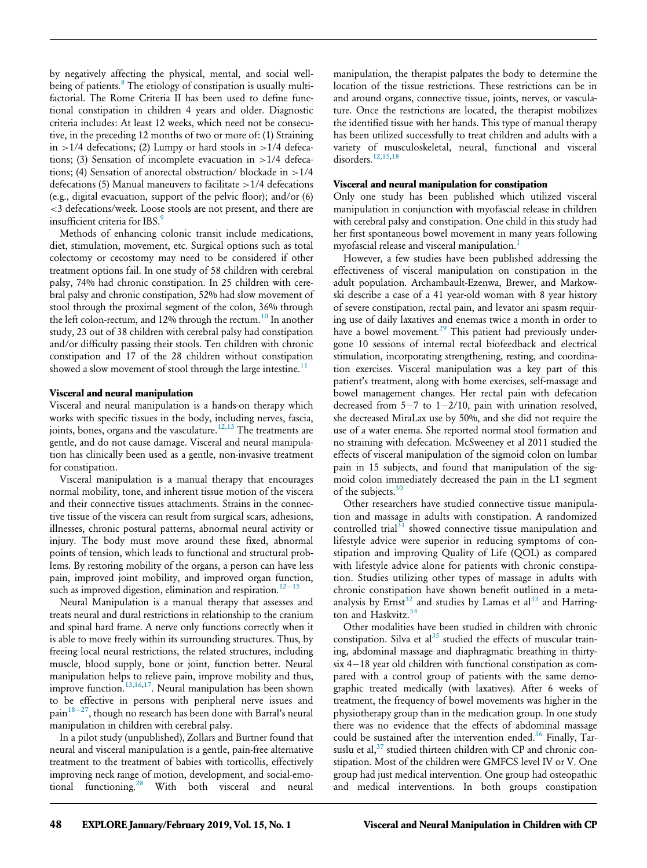by negatively affecting the physical, mental, and social well-being of patients.<sup>[8](#page-6-6)</sup> The etiology of constipation is usually multifactorial. The Rome Criteria II has been used to define functional constipation in children 4 years and older. Diagnostic criteria includes: At least 12 weeks, which need not be consecutive, in the preceding 12 months of two or more of: (1) Straining in  $>1/4$  defecations; (2) Lumpy or hard stools in  $>1/4$  defecations; (3) Sensation of incomplete evacuation in >1/4 defecations; (4) Sensation of anorectal obstruction/ blockade in >1/4 defecations (5) Manual maneuvers to facilitate  $>1/4$  defecations (e.g., digital evacuation, support of the pelvic floor); and/or (6) <3 defecations/week. Loose stools are not present, and there are insufficient criteria for IBS.<sup>[9](#page-6-7)</sup>

Methods of enhancing colonic transit include medications, diet, stimulation, movement, etc. Surgical options such as total colectomy or cecostomy may need to be considered if other treatment options fail. In one study of 58 children with cerebral palsy, 74% had chronic constipation. In 25 children with cerebral palsy and chronic constipation, 52% had slow movement of stool through the proximal segment of the colon, 36% through the left colon-rectum, and 12% through the rectum.<sup>[10](#page-6-8)</sup> In another study, 23 out of 38 children with cerebral palsy had constipation and/or difficulty passing their stools. Ten children with chronic constipation and 17 of the 28 children without constipation showed a slow movement of stool through the large intestine.<sup>[11](#page-6-9)</sup>

#### Visceral and neural manipulation

Visceral and neural manipulation is a hands-on therapy which works with specific tissues in the body, including nerves, fascia, joints, bones, organs and the vasculature.<sup>[12,13](#page-6-10)</sup> The treatments are gentle, and do not cause damage. Visceral and neural manipulation has clinically been used as a gentle, non-invasive treatment for constipation.

Visceral manipulation is a manual therapy that encourages normal mobility, tone, and inherent tissue motion of the viscera and their connective tissues attachments. Strains in the connective tissue of the viscera can result from surgical scars, adhesions, illnesses, chronic postural patterns, abnormal neural activity or injury. The body must move around these fixed, abnormal points of tension, which leads to functional and structural problems. By restoring mobility of the organs, a person can have less pain, improved joint mobility, and improved organ function, such as improved digestion, elimination and respiration.<sup>[12](#page-6-10)–[15](#page-6-10)</sup>

Neural Manipulation is a manual therapy that assesses and treats neural and dural restrictions in relationship to the cranium and spinal hard frame. A nerve only functions correctly when it is able to move freely within its surrounding structures. Thus, by freeing local neural restrictions, the related structures, including muscle, blood supply, bone or joint, function better. Neural manipulation helps to relieve pain, improve mobility and thus, improve function.<sup>[13,16](#page-6-11),17</sup>. Neural manipulation has been shown to be effective in persons with peripheral nerve issues and pain<sup>18–27</sup>, though no research has been done with Barral's neural manipulation in children with cerebral palsy.

In a pilot study (unpublished), Zollars and Burtner found that neural and visceral manipulation is a gentle, pain-free alternative treatment to the treatment of babies with torticollis, effectively improving neck range of motion, development, and social-emotional functioning.[28](#page-6-14) With both visceral and neural

manipulation, the therapist palpates the body to determine the location of the tissue restrictions. These restrictions can be in and around organs, connective tissue, joints, nerves, or vasculature. Once the restrictions are located, the therapist mobilizes the identified tissue with her hands. This type of manual therapy has been utilized successfully to treat children and adults with a variety of musculoskeletal, neural, functional and visceral disorders.<sup>[12,15](#page-6-10),[18](#page-6-13)</sup>

#### Visceral and neural manipulation for constipation

Only one study has been published which utilized visceral manipulation in conjunction with myofascial release in children with cerebral palsy and constipation. One child in this study had her first spontaneous bowel movement in many years following myofascial release and visceral manipulation.<sup>[1](#page-5-0)</sup>

However, a few studies have been published addressing the effectiveness of visceral manipulation on constipation in the adult population. Archambault-Ezenwa, Brewer, and Markowski describe a case of a 41 year-old woman with 8 year history of severe constipation, rectal pain, and levator ani spasm requiring use of daily laxatives and enemas twice a month in order to have a bowel movement.<sup>29</sup> This patient had previously undergone 10 sessions of internal rectal biofeedback and electrical stimulation, incorporating strengthening, resting, and coordination exercises. Visceral manipulation was a key part of this patient's treatment, along with home exercises, self-massage and bowel management changes. Her rectal pain with defecation decreased from  $5-7$  to  $1-2/10$ , pain with urination resolved, she decreased MiraLax use by 50%, and she did not require the use of a water enema. She reported normal stool formation and no straining with defecation. McSweeney et al 2011 studied the effects of visceral manipulation of the sigmoid colon on lumbar pain in 15 subjects, and found that manipulation of the sigmoid colon immediately decreased the pain in the L1 segment of the subjects.<sup>30</sup>

Other researchers have studied connective tissue manipulation and massage in adults with constipation. A randomized controlled trial $31$  showed connective tissue manipulation and lifestyle advice were superior in reducing symptoms of constipation and improving Quality of Life (QOL) as compared with lifestyle advice alone for patients with chronic constipation. Studies utilizing other types of massage in adults with chronic constipation have shown benefit outlined in a meta-analysis by Ernst<sup>[32](#page-6-18)</sup> and studies by Lamas et al<sup>[33](#page-6-19)</sup> and Harring-ton and Haskvitz.<sup>[34](#page-6-20)</sup>

Other modalities have been studied in children with chronic constipation. Silva et  $al<sup>35</sup>$  $al<sup>35</sup>$  $al<sup>35</sup>$  studied the effects of muscular training, abdominal massage and diaphragmatic breathing in thirty $s$ ix 4 $-18$  year old children with functional constipation as compared with a control group of patients with the same demographic treated medically (with laxatives). After 6 weeks of treatment, the frequency of bowel movements was higher in the physiotherapy group than in the medication group. In one study there was no evidence that the effects of abdominal massage could be sustained after the intervention ended.<sup>[36](#page-6-22)</sup> Finally, Tarsuslu et al, $37$  studied thirteen children with CP and chronic constipation. Most of the children were GMFCS level IV or V. One group had just medical intervention. One group had osteopathic and medical interventions. In both groups constipation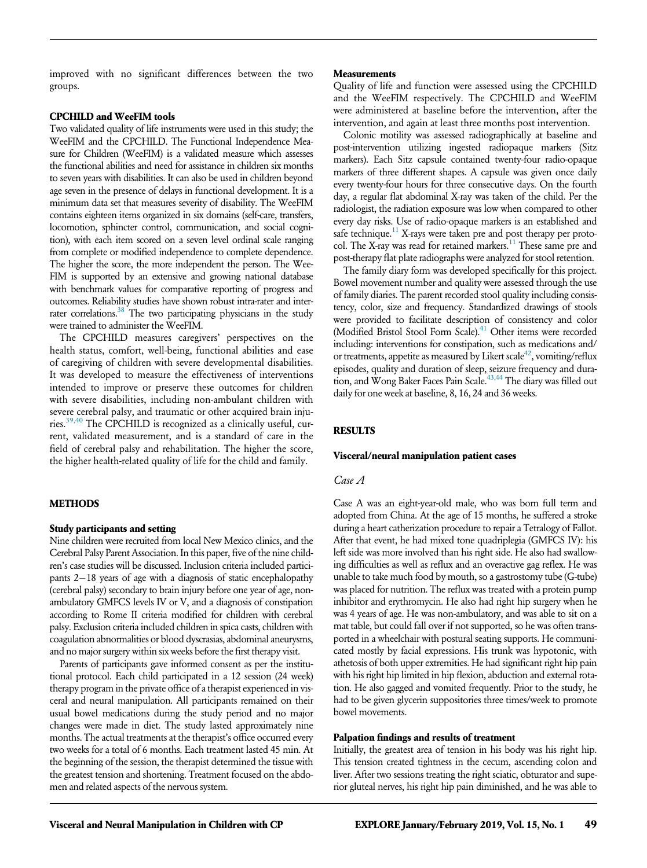improved with no significant differences between the two groups.

#### CPCHILD and WeeFIM tools

Two validated quality of life instruments were used in this study; the WeeFIM and the CPCHILD. The Functional Independence Measure for Children (WeeFIM) is a validated measure which assesses the functional abilities and need for assistance in children six months to seven years with disabilities. It can also be used in children beyond age seven in the presence of delays in functional development. It is a minimum data set that measures severity of disability. The WeeFIM contains eighteen items organized in six domains (self-care, transfers, locomotion, sphincter control, communication, and social cognition), with each item scored on a seven level ordinal scale ranging from complete or modified independence to complete dependence. The higher the score, the more independent the person. The Wee-FIM is supported by an extensive and growing national database with benchmark values for comparative reporting of progress and outcomes. Reliability studies have shown robust intra-rater and inter-rater correlations.<sup>[38](#page-6-24)</sup> The two participating physicians in the study were trained to administer the WeeFIM.

The CPCHILD measures caregivers' perspectives on the health status, comfort, well-being, functional abilities and ease of caregiving of children with severe developmental disabilities. It was developed to measure the effectiveness of interventions intended to improve or preserve these outcomes for children with severe disabilities, including non-ambulant children with severe cerebral palsy, and traumatic or other acquired brain injuries.[39,40](#page-6-25) The CPCHILD is recognized as a clinically useful, current, validated measurement, and is a standard of care in the field of cerebral palsy and rehabilitation. The higher the score, the higher health-related quality of life for the child and family.

## **METHODS**

#### Study participants and setting

Nine children were recruited from local New Mexico clinics, and the Cerebral Palsy Parent Association. In this paper, five of the nine children's case studies will be discussed. Inclusion criteria included participants  $2-18$  years of age with a diagnosis of static encephalopathy (cerebral palsy) secondary to brain injury before one year of age, nonambulatory GMFCS levels IV or V, and a diagnosis of constipation according to Rome II criteria modified for children with cerebral palsy. Exclusion criteria included children in spica casts, children with coagulation abnormalities or blood dyscrasias, abdominal aneurysms, and no major surgery within six weeks before the first therapy visit.

Parents of participants gave informed consent as per the institutional protocol. Each child participated in a 12 session (24 week) therapy program in the private office of a therapist experienced in visceral and neural manipulation. All participants remained on their usual bowel medications during the study period and no major changes were made in diet. The study lasted approximately nine months. The actual treatments at the therapist's office occurred every two weeks for a total of 6 months. Each treatment lasted 45 min. At the beginning of the session, the therapist determined the tissue with the greatest tension and shortening. Treatment focused on the abdomen and related aspects of the nervous system.

## **Measurements**

Quality of life and function were assessed using the CPCHILD and the WeeFIM respectively. The CPCHILD and WeeFIM were administered at baseline before the intervention, after the intervention, and again at least three months post intervention.

Colonic motility was assessed radiographically at baseline and post-intervention utilizing ingested radiopaque markers (Sitz markers). Each Sitz capsule contained twenty-four radio-opaque markers of three different shapes. A capsule was given once daily every twenty-four hours for three consecutive days. On the fourth day, a regular flat abdominal X-ray was taken of the child. Per the radiologist, the radiation exposure was low when compared to other every day risks. Use of radio-opaque markers is an established and safe technique.<sup>11</sup> X-rays were taken pre and post therapy per protocol. The X-ray was read for retained markers.<sup>11</sup> These same pre and post-therapy flat plate radiographs were analyzed for stool retention.

The family diary form was developed specifically for this project. Bowel movement number and quality were assessed through the use of family diaries. The parent recorded stool quality including consistency, color, size and frequency. Standardized drawings of stools were provided to facilitate description of consistency and color (Modified Bristol Stool Form Scale).<sup>41</sup> Other items were recorded including: interventions for constipation, such as medications and/ or treatments, appetite as measured by Likert scale<sup>42</sup>, vomiting/reflux episodes, quality and duration of sleep, seizure frequency and dura-tion, and Wong Baker Faces Pain Scale.<sup>[43,44](#page-7-2)</sup> The diary was filled out daily for one week at baseline, 8, 16, 24 and 36 weeks.

#### **RESULTS**

#### Visceral/neural manipulation patient cases

### Case A

Case A was an eight-year-old male, who was born full term and adopted from China. At the age of 15 months, he suffered a stroke during a heart catherization procedure to repair a Tetralogy of Fallot. After that event, he had mixed tone quadriplegia (GMFCS IV): his left side was more involved than his right side. He also had swallowing difficulties as well as reflux and an overactive gag reflex. He was unable to take much food by mouth, so a gastrostomy tube (G-tube) was placed for nutrition. The reflux was treated with a protein pump inhibitor and erythromycin. He also had right hip surgery when he was 4 years of age. He was non-ambulatory, and was able to sit on a mat table, but could fall over if not supported, so he was often transported in a wheelchair with postural seating supports. He communicated mostly by facial expressions. His trunk was hypotonic, with athetosis of both upper extremities. He had significant right hip pain with his right hip limited in hip flexion, abduction and external rotation. He also gagged and vomited frequently. Prior to the study, he had to be given glycerin suppositories three times/week to promote bowel movements.

#### Palpation findings and results of treatment

Initially, the greatest area of tension in his body was his right hip. This tension created tightness in the cecum, ascending colon and liver. After two sessions treating the right sciatic, obturator and superior gluteal nerves, his right hip pain diminished, and he was able to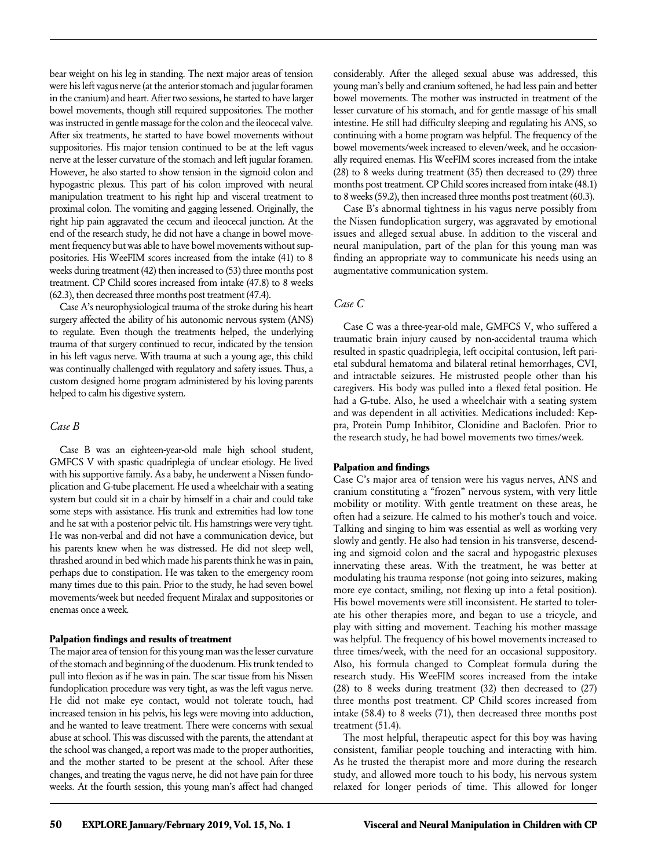bear weight on his leg in standing. The next major areas of tension were his left vagus nerve (at the anterior stomach and jugular foramen in the cranium) and heart. After two sessions, he started to have larger bowel movements, though still required suppositories. The mother was instructed in gentle massage for the colon and the ileocecal valve. After six treatments, he started to have bowel movements without suppositories. His major tension continued to be at the left vagus nerve at the lesser curvature of the stomach and left jugular foramen. However, he also started to show tension in the sigmoid colon and hypogastric plexus. This part of his colon improved with neural manipulation treatment to his right hip and visceral treatment to proximal colon. The vomiting and gagging lessened. Originally, the right hip pain aggravated the cecum and ileocecal junction. At the end of the research study, he did not have a change in bowel movement frequency but was able to have bowel movements without suppositories. His WeeFIM scores increased from the intake (41) to 8 weeks during treatment (42) then increased to (53) three months post treatment. CP Child scores increased from intake (47.8) to 8 weeks (62.3), then decreased three months post treatment (47.4).

Case A's neurophysiological trauma of the stroke during his heart surgery affected the ability of his autonomic nervous system (ANS) to regulate. Even though the treatments helped, the underlying trauma of that surgery continued to recur, indicated by the tension in his left vagus nerve. With trauma at such a young age, this child was continually challenged with regulatory and safety issues. Thus, a custom designed home program administered by his loving parents helped to calm his digestive system.

## Case B

Case B was an eighteen-year-old male high school student, GMFCS V with spastic quadriplegia of unclear etiology. He lived with his supportive family. As a baby, he underwent a Nissen fundoplication and G-tube placement. He used a wheelchair with a seating system but could sit in a chair by himself in a chair and could take some steps with assistance. His trunk and extremities had low tone and he sat with a posterior pelvic tilt. His hamstrings were very tight. He was non-verbal and did not have a communication device, but his parents knew when he was distressed. He did not sleep well, thrashed around in bed which made his parents think he was in pain, perhaps due to constipation. He was taken to the emergency room many times due to this pain. Prior to the study, he had seven bowel movements/week but needed frequent Miralax and suppositories or enemas once a week.

#### Palpation findings and results of treatment

The major area of tension for this young man was the lesser curvature of the stomach and beginning of the duodenum. His trunk tended to pull into flexion as if he was in pain. The scar tissue from his Nissen fundoplication procedure was very tight, as was the left vagus nerve. He did not make eye contact, would not tolerate touch, had increased tension in his pelvis, his legs were moving into adduction, and he wanted to leave treatment. There were concerns with sexual abuse at school. This was discussed with the parents, the attendant at the school was changed, a report was made to the proper authorities, and the mother started to be present at the school. After these changes, and treating the vagus nerve, he did not have pain for three weeks. At the fourth session, this young man's affect had changed

considerably. After the alleged sexual abuse was addressed, this young man's belly and cranium softened, he had less pain and better bowel movements. The mother was instructed in treatment of the lesser curvature of his stomach, and for gentle massage of his small intestine. He still had difficulty sleeping and regulating his ANS, so continuing with a home program was helpful. The frequency of the bowel movements/week increased to eleven/week, and he occasionally required enemas. His WeeFIM scores increased from the intake (28) to 8 weeks during treatment (35) then decreased to (29) three months post treatment. CP Child scores increased from intake (48.1) to 8 weeks (59.2), then increased three months post treatment (60.3).

Case B's abnormal tightness in his vagus nerve possibly from the Nissen fundoplication surgery, was aggravated by emotional issues and alleged sexual abuse. In addition to the visceral and neural manipulation, part of the plan for this young man was finding an appropriate way to communicate his needs using an augmentative communication system.

## Case C

Case C was a three-year-old male, GMFCS V, who suffered a traumatic brain injury caused by non-accidental trauma which resulted in spastic quadriplegia, left occipital contusion, left parietal subdural hematoma and bilateral retinal hemorrhages, CVI, and intractable seizures. He mistrusted people other than his caregivers. His body was pulled into a flexed fetal position. He had a G-tube. Also, he used a wheelchair with a seating system and was dependent in all activities. Medications included: Keppra, Protein Pump Inhibitor, Clonidine and Baclofen. Prior to the research study, he had bowel movements two times/week.

#### Palpation and findings

Case C's major area of tension were his vagus nerves, ANS and cranium constituting a "frozen" nervous system, with very little mobility or motility. With gentle treatment on these areas, he often had a seizure. He calmed to his mother's touch and voice. Talking and singing to him was essential as well as working very slowly and gently. He also had tension in his transverse, descending and sigmoid colon and the sacral and hypogastric plexuses innervating these areas. With the treatment, he was better at modulating his trauma response (not going into seizures, making more eye contact, smiling, not flexing up into a fetal position). His bowel movements were still inconsistent. He started to tolerate his other therapies more, and began to use a tricycle, and play with sitting and movement. Teaching his mother massage was helpful. The frequency of his bowel movements increased to three times/week, with the need for an occasional suppository. Also, his formula changed to Compleat formula during the research study. His WeeFIM scores increased from the intake (28) to 8 weeks during treatment (32) then decreased to (27) three months post treatment. CP Child scores increased from intake (58.4) to 8 weeks (71), then decreased three months post treatment (51.4).

The most helpful, therapeutic aspect for this boy was having consistent, familiar people touching and interacting with him. As he trusted the therapist more and more during the research study, and allowed more touch to his body, his nervous system relaxed for longer periods of time. This allowed for longer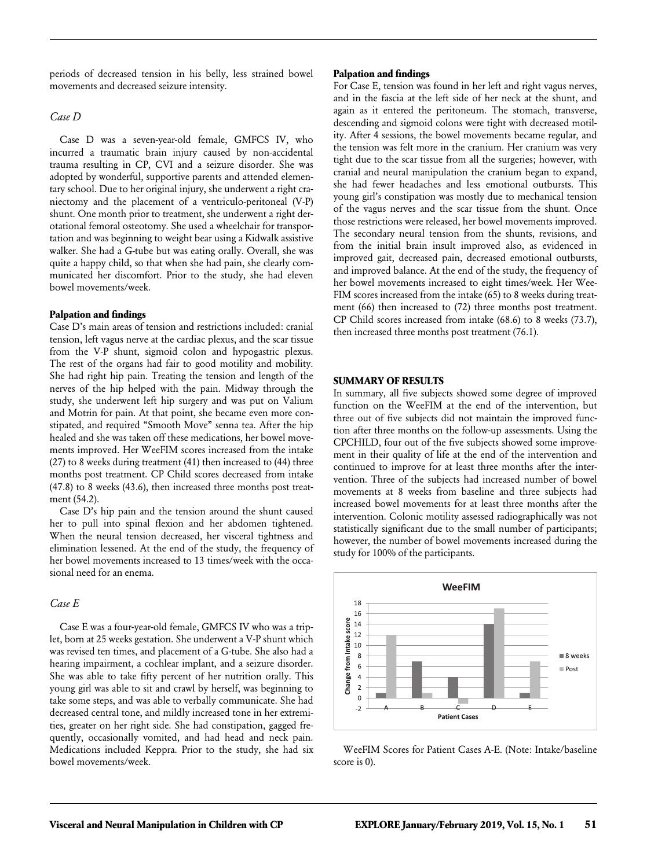periods of decreased tension in his belly, less strained bowel movements and decreased seizure intensity.

## Case D

Case D was a seven-year-old female, GMFCS IV, who incurred a traumatic brain injury caused by non-accidental trauma resulting in CP, CVI and a seizure disorder. She was adopted by wonderful, supportive parents and attended elementary school. Due to her original injury, she underwent a right craniectomy and the placement of a ventriculo-peritoneal (V-P) shunt. One month prior to treatment, she underwent a right derotational femoral osteotomy. She used a wheelchair for transportation and was beginning to weight bear using a Kidwalk assistive walker. She had a G-tube but was eating orally. Overall, she was quite a happy child, so that when she had pain, she clearly communicated her discomfort. Prior to the study, she had eleven bowel movements/week.

#### Palpation and findings

Case D's main areas of tension and restrictions included: cranial tension, left vagus nerve at the cardiac plexus, and the scar tissue from the V-P shunt, sigmoid colon and hypogastric plexus. The rest of the organs had fair to good motility and mobility. She had right hip pain. Treating the tension and length of the nerves of the hip helped with the pain. Midway through the study, she underwent left hip surgery and was put on Valium and Motrin for pain. At that point, she became even more constipated, and required "Smooth Move" senna tea. After the hip healed and she was taken off these medications, her bowel movements improved. Her WeeFIM scores increased from the intake (27) to 8 weeks during treatment (41) then increased to (44) three months post treatment. CP Child scores decreased from intake (47.8) to 8 weeks (43.6), then increased three months post treatment (54.2).

Case D's hip pain and the tension around the shunt caused her to pull into spinal flexion and her abdomen tightened. When the neural tension decreased, her visceral tightness and elimination lessened. At the end of the study, the frequency of her bowel movements increased to 13 times/week with the occasional need for an enema.

## Case E

Case E was a four-year-old female, GMFCS IV who was a triplet, born at 25 weeks gestation. She underwent a V-P shunt which was revised ten times, and placement of a G-tube. She also had a hearing impairment, a cochlear implant, and a seizure disorder. She was able to take fifty percent of her nutrition orally. This young girl was able to sit and crawl by herself, was beginning to take some steps, and was able to verbally communicate. She had decreased central tone, and mildly increased tone in her extremities, greater on her right side. She had constipation, gagged frequently, occasionally vomited, and had head and neck pain. Medications included Keppra. Prior to the study, she had six bowel movements/week.

#### Palpation and findings

For Case E, tension was found in her left and right vagus nerves, and in the fascia at the left side of her neck at the shunt, and again as it entered the peritoneum. The stomach, transverse, descending and sigmoid colons were tight with decreased motility. After 4 sessions, the bowel movements became regular, and the tension was felt more in the cranium. Her cranium was very tight due to the scar tissue from all the surgeries; however, with cranial and neural manipulation the cranium began to expand, she had fewer headaches and less emotional outbursts. This young girl's constipation was mostly due to mechanical tension of the vagus nerves and the scar tissue from the shunt. Once those restrictions were released, her bowel movements improved. The secondary neural tension from the shunts, revisions, and from the initial brain insult improved also, as evidenced in improved gait, decreased pain, decreased emotional outbursts, and improved balance. At the end of the study, the frequency of her bowel movements increased to eight times/week. Her Wee-FIM scores increased from the intake (65) to 8 weeks during treatment (66) then increased to (72) three months post treatment. CP Child scores increased from intake (68.6) to 8 weeks (73.7), then increased three months post treatment (76.1).

## SUMMARY OF RESULTS

In summary, all five subjects showed some degree of improved function on the WeeFIM at the end of the intervention, but three out of five subjects did not maintain the improved function after three months on the follow-up assessments. Using the CPCHILD, four out of the five subjects showed some improvement in their quality of life at the end of the intervention and continued to improve for at least three months after the intervention. Three of the subjects had increased number of bowel movements at 8 weeks from baseline and three subjects had increased bowel movements for at least three months after the intervention. Colonic motility assessed radiographically was not statistically significant due to the small number of participants; however, the number of bowel movements increased during the study for 100% of the participants.



WeeFIM Scores for Patient Cases A-E. (Note: Intake/baseline score is 0).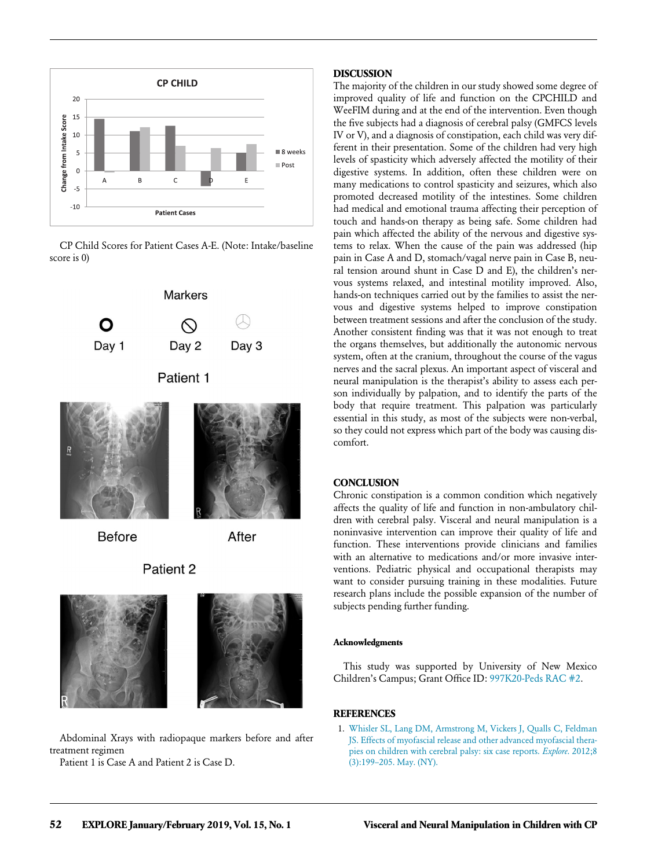

CP Child Scores for Patient Cases A-E. (Note: Intake/baseline score is 0)



<span id="page-5-1"></span>



<span id="page-5-0"></span>Abdominal Xrays with radiopaque markers before and after treatment regimen

Patient 1 is Case A and Patient 2 is Case D.

## DISCUSSION

The majority of the children in our study showed some degree of improved quality of life and function on the CPCHILD and WeeFIM during and at the end of the intervention. Even though the five subjects had a diagnosis of cerebral palsy (GMFCS levels IV or V), and a diagnosis of constipation, each child was very different in their presentation. Some of the children had very high levels of spasticity which adversely affected the motility of their digestive systems. In addition, often these children were on many medications to control spasticity and seizures, which also promoted decreased motility of the intestines. Some children had medical and emotional trauma affecting their perception of touch and hands-on therapy as being safe. Some children had pain which affected the ability of the nervous and digestive systems to relax. When the cause of the pain was addressed (hip pain in Case A and D, stomach/vagal nerve pain in Case B, neural tension around shunt in Case D and E), the children's nervous systems relaxed, and intestinal motility improved. Also, hands-on techniques carried out by the families to assist the nervous and digestive systems helped to improve constipation between treatment sessions and after the conclusion of the study. Another consistent finding was that it was not enough to treat the organs themselves, but additionally the autonomic nervous system, often at the cranium, throughout the course of the vagus nerves and the sacral plexus. An important aspect of visceral and neural manipulation is the therapist's ability to assess each person individually by palpation, and to identify the parts of the body that require treatment. This palpation was particularly essential in this study, as most of the subjects were non-verbal, so they could not express which part of the body was causing discomfort.

## **CONCLUSION**

Chronic constipation is a common condition which negatively affects the quality of life and function in non-ambulatory children with cerebral palsy. Visceral and neural manipulation is a noninvasive intervention can improve their quality of life and function. These interventions provide clinicians and families with an alternative to medications and/or more invasive interventions. Pediatric physical and occupational therapists may want to consider pursuing training in these modalities. Future research plans include the possible expansion of the number of subjects pending further funding.

#### Acknowledgments

This study was supported by University of New Mexico Children's Campus; Grant Office ID: [997K20-Peds RAC #2](#page-5-1).

## **REFERENCES**

1. [Whisler SL, Lang DM, Armstrong M, Vickers J, Qualls C, Feldman](http://refhub.elsevier.com/S1550-8307(18)30192-7/sbref0001) [JS. Effects of myofascial release and other advanced myofascial thera](http://refhub.elsevier.com/S1550-8307(18)30192-7/sbref0001)[pies on children with cerebral palsy: six case reports.](http://refhub.elsevier.com/S1550-8307(18)30192-7/sbref0001) Explore. 2012;8 (3):199–[205. May. \(NY\).](http://refhub.elsevier.com/S1550-8307(18)30192-7/sbref0001)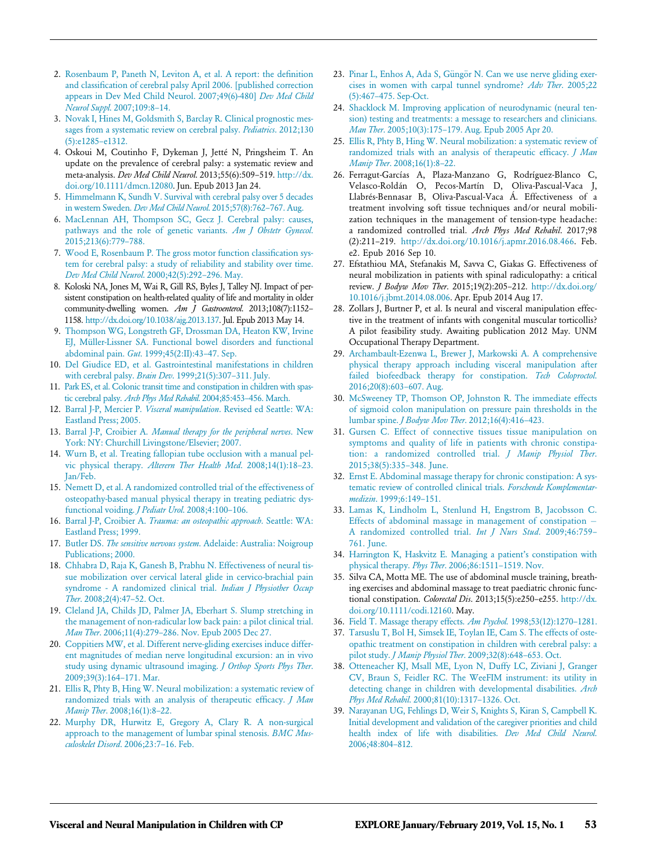- <span id="page-6-0"></span>2. [Rosenbaum P, Paneth N, Leviton A, et al. A report: the de](http://refhub.elsevier.com/S1550-8307(18)30192-7/sbref0002)finition and classifi[cation of cerebral palsy April 2006. \[published correction](http://refhub.elsevier.com/S1550-8307(18)30192-7/sbref0002) [appears in Dev Med Child Neurol. 2007;49\(6\)-480\]](http://refhub.elsevier.com/S1550-8307(18)30192-7/sbref0002) Dev Med Child Neurol Suppl[. 2007;109:8](http://refhub.elsevier.com/S1550-8307(18)30192-7/sbref0002)–14.
- <span id="page-6-1"></span>3. [Novak I, Hines M, Goldsmith S, Barclay R. Clinical prognostic mes](http://refhub.elsevier.com/S1550-8307(18)30192-7/sbref0003)[sages from a systematic review on cerebral palsy.](http://refhub.elsevier.com/S1550-8307(18)30192-7/sbref0003) Pediatrics. 2012;130 [\(5\):e1285](http://refhub.elsevier.com/S1550-8307(18)30192-7/sbref0003)–e1312.
- <span id="page-6-2"></span>4. Oskoui M, Coutinho F, Dykeman J, Jette N, Pringsheim T. An update on the prevalence of cerebral palsy: a systematic review and meta-analysis. Dev Med Child Neurol. 2013;55(6):509–519. [http://dx.](http://dx.doi.org/10.1111/dmcn.12080) [doi.org/10.1111/dmcn.12080. Jun. Epub 2013 Jan 24.](http://dx.doi.org/10.1111/dmcn.12080)
- <span id="page-6-3"></span>5. [Himmelmann K, Sundh V. Survival with cerebral palsy over 5 decades](http://refhub.elsevier.com/S1550-8307(18)30192-7/sbref0005) in western Sweden. [Dev Med Child Neurol](http://refhub.elsevier.com/S1550-8307(18)30192-7/sbref0005). 2015;57(8):762–767. Aug.
- <span id="page-6-4"></span>6. [MacLennan AH, Thompson SC, Gecz J. Cerebral palsy: causes,](http://refhub.elsevier.com/S1550-8307(18)30192-7/sbref0006) [pathways and the role of genetic variants.](http://refhub.elsevier.com/S1550-8307(18)30192-7/sbref0006) Am J Obstetr Gynecol. [2015;213\(6\):779](http://refhub.elsevier.com/S1550-8307(18)30192-7/sbref0006)–788.
- <span id="page-6-5"></span>7. [Wood E, Rosenbaum P. The gross motor function classi](http://refhub.elsevier.com/S1550-8307(18)30192-7/sbref0007)fication sys[tem for cerebral palsy: a study of reliability and stability over time.](http://refhub.elsevier.com/S1550-8307(18)30192-7/sbref0007) [Dev Med Child Neurol](http://refhub.elsevier.com/S1550-8307(18)30192-7/sbref0007). 2000;42(5):292–296. May.
- <span id="page-6-14"></span><span id="page-6-6"></span>8. Koloski NA, Jones M, Wai R, Gill RS, Byles J, Talley NJ. Impact of persistent constipation on health-related quality of life and mortality in older community-dwelling women. Am J Gastroenterol. 2013;108(7):1152-1158. [http://dx.doi.org/10.1038/ajg.2013.137. Jul. Epub 2013 May 14.](http://dx.doi.org/10.1038/ajg.2013.137)
- <span id="page-6-7"></span>9. [Thompson WG, Longstreth GF, Drossman DA, Heaton KW, Irvine](http://refhub.elsevier.com/S1550-8307(18)30192-7/sbref0009) [EJ, M](http://refhub.elsevier.com/S1550-8307(18)30192-7/sbref0009)ü[ller-Lissner SA. Functional bowel disorders and functional](http://refhub.elsevier.com/S1550-8307(18)30192-7/sbref0009) abdominal pain. Gut[. 1999;45\(2:II\):43](http://refhub.elsevier.com/S1550-8307(18)30192-7/sbref0009)–47. Sep.
- <span id="page-6-15"></span><span id="page-6-8"></span>10. [Del Giudice ED, et al. Gastrointestinal manifestations in children](http://refhub.elsevier.com/S1550-8307(18)30192-7/sbref0010) [with cerebral palsy.](http://refhub.elsevier.com/S1550-8307(18)30192-7/sbref0010) Brain Dev. 1999;21(5):307-311. July.
- <span id="page-6-16"></span><span id="page-6-9"></span>11. [Park ES, et al. Colonic transit time and constipation in children with spas-](http://refhub.elsevier.com/S1550-8307(18)30192-7/sbref0011)tic cerebral palsy. [Arch Phys Med Rehabil](http://refhub.elsevier.com/S1550-8307(18)30192-7/sbref0011). 2004;85:453-456. March.
- <span id="page-6-10"></span>12. Barral J-P, Mercier P. Visceral manipulation[. Revised ed Seattle: WA:](http://refhub.elsevier.com/S1550-8307(18)30192-7/sbref0012) [Eastland Press; 2005.](http://refhub.elsevier.com/S1550-8307(18)30192-7/sbref0012)
- <span id="page-6-17"></span><span id="page-6-11"></span>13. Barral J-P, Croibier A. [Manual therapy for the peripheral nerves](http://refhub.elsevier.com/S1550-8307(18)30192-7/sbref0013). New [York: NY: Churchill Livingstone/Elsevier; 2007.](http://refhub.elsevier.com/S1550-8307(18)30192-7/sbref0013)
- 14. [Wurn B, et al. Treating fallopian tube occlusion with a manual pel](http://refhub.elsevier.com/S1550-8307(18)30192-7/sbref0014)vic physical therapy. [Alterern Ther Health Med](http://refhub.elsevier.com/S1550-8307(18)30192-7/sbref0014). 2008;14(1):18–23. [Jan/Feb.](http://refhub.elsevier.com/S1550-8307(18)30192-7/sbref0014)
- <span id="page-6-18"></span>15. [Nemett D, et al. A randomized controlled trial of the effectiveness of](http://refhub.elsevier.com/S1550-8307(18)30192-7/sbref0015) [osteopathy-based manual physical therapy in treating pediatric dys](http://refhub.elsevier.com/S1550-8307(18)30192-7/sbref0015)[functional voiding.](http://refhub.elsevier.com/S1550-8307(18)30192-7/sbref0015) J Pediatr Urol. 2008;4:100–106.
- <span id="page-6-19"></span>16. Barral J-P, Croibier A. [Trauma: an osteopathic approach](http://refhub.elsevier.com/S1550-8307(18)30192-7/sbref0016). Seattle: WA: [Eastland Press; 1999.](http://refhub.elsevier.com/S1550-8307(18)30192-7/sbref0016)
- <span id="page-6-20"></span><span id="page-6-12"></span>17. Butler DS. The sensitive nervous system[. Adelaide: Australia: Noigroup](http://refhub.elsevier.com/S1550-8307(18)30192-7/sbref0017) [Publications; 2000.](http://refhub.elsevier.com/S1550-8307(18)30192-7/sbref0017)
- <span id="page-6-21"></span><span id="page-6-13"></span>18. [Chhabra D, Raja K, Ganesh B, Prabhu N. Effectiveness of neural tis](http://refhub.elsevier.com/S1550-8307(18)30192-7/sbref0018)[sue mobilization over cervical lateral glide in cervico-brachial pain](http://refhub.elsevier.com/S1550-8307(18)30192-7/sbref0018) [syndrome - A randomized clinical trial.](http://refhub.elsevier.com/S1550-8307(18)30192-7/sbref0018) Indian J Physiother Occup Ther[. 2008;2\(4\):47](http://refhub.elsevier.com/S1550-8307(18)30192-7/sbref0018)–52. Oct.
- <span id="page-6-22"></span>19. [Cleland JA, Childs JD, Palmer JA, Eberhart S. Slump stretching in](http://refhub.elsevier.com/S1550-8307(18)30192-7/sbref0019) [the management of non-radicular low back pain: a pilot clinical trial.](http://refhub.elsevier.com/S1550-8307(18)30192-7/sbref0019) Man Ther. 2006;11(4):279–[286. Nov. Epub 2005 Dec 27.](http://refhub.elsevier.com/S1550-8307(18)30192-7/sbref0019)
- <span id="page-6-24"></span><span id="page-6-23"></span>20. [Coppitiers MW, et al. Different nerve-gliding exercises induce differ](http://refhub.elsevier.com/S1550-8307(18)30192-7/sbref0020)[ent magnitudes of median nerve longitudinal excursion: an in vivo](http://refhub.elsevier.com/S1550-8307(18)30192-7/sbref0020) [study using dynamic ultrasound imaging.](http://refhub.elsevier.com/S1550-8307(18)30192-7/sbref0020) J Orthop Sports Phys Ther. [2009;39\(3\):164](http://refhub.elsevier.com/S1550-8307(18)30192-7/sbref0020)–171. Mar.
- 21. [Ellis R, Phty B, Hing W. Neural mobilization: a systematic review of](http://refhub.elsevier.com/S1550-8307(18)30192-7/sbref0021) [randomized trials with an analysis of therapeutic ef](http://refhub.elsevier.com/S1550-8307(18)30192-7/sbref0021)ficacy. J Man Manip Ther[. 2008;16\(1\):8](http://refhub.elsevier.com/S1550-8307(18)30192-7/sbref0021)–22.
- <span id="page-6-25"></span>22. [Murphy DR, Hurwitz E, Gregory A, Clary R. A non-surgical](http://refhub.elsevier.com/S1550-8307(18)30192-7/sbref0022) [approach to the management of lumbar spinal stenosis.](http://refhub.elsevier.com/S1550-8307(18)30192-7/sbref0022) BMC Mus[culoskelet Disord](http://refhub.elsevier.com/S1550-8307(18)30192-7/sbref0022). 2006;23:7–16. Feb.
- 23. Pinar L, Enhos A, Ada S, Güngör N. Can we use nerve gliding exer[cises in women with carpal tunnel syndrome?](http://refhub.elsevier.com/S1550-8307(18)30192-7/sbref0023) Adv Ther. 2005;22 (5):467–[475. Sep-Oct.](http://refhub.elsevier.com/S1550-8307(18)30192-7/sbref0023)
- 24. [Shacklock M. Improving application of neurodynamic \(neural ten](http://refhub.elsevier.com/S1550-8307(18)30192-7/sbref0024)[sion\) testing and treatments: a message to researchers and clinicians.](http://refhub.elsevier.com/S1550-8307(18)30192-7/sbref0024) Man Ther. 2005;10(3):175–[179. Aug. Epub 2005 Apr 20.](http://refhub.elsevier.com/S1550-8307(18)30192-7/sbref0024)
- 25. [Ellis R, Phty B, Hing W. Neural mobilization: a systematic review of](http://refhub.elsevier.com/S1550-8307(18)30192-7/sbref0025) [randomized trials with an analysis of therapeutic ef](http://refhub.elsevier.com/S1550-8307(18)30192-7/sbref0025)ficacy. J Man Manip Ther[. 2008;16\(1\):8](http://refhub.elsevier.com/S1550-8307(18)30192-7/sbref0025)–22.
- 26. Ferragut-Garcías A, Plaza-Manzano G, Rodríguez-Blanco C, Velasco-Roldan O, Pecos-Martín D, Oliva-Pascual-Vaca J, Llabres-Bennasar B, Oliva-Pascual-Vaca A. Effectiveness of a treatment involving soft tissue techniques and/or neural mobilization techniques in the management of tension-type headache: a randomized controlled trial. Arch Phys Med Rehabil. 2017;98 (2):211–219. [http://dx.doi.org/10.1016/j.apmr.2016.08.466. Feb.](http://dx.doi.org/10.1016/j.apmr.2016.08.466) [e2. Epub 2016 Sep 10.](http://dx.doi.org/10.1016/j.apmr.2016.08.466)
- 27. Efstathiou MA, Stefanakis M, Savva C, Giakas G. Effectiveness of neural mobilization in patients with spinal radiculopathy: a critical review. *J Bodyw Mov Ther.* 2015;19(2):205-212. [http://dx.doi.org/](http://dx.doi.org/10.1016/j.jbmt.2014.08.006) [10.1016/j.jbmt.2014.08.006. Apr. Epub 2014 Aug 17.](http://dx.doi.org/10.1016/j.jbmt.2014.08.006)
- 28. Zollars J, Burtner P, et al. Is neural and visceral manipulation effective in the treatment of infants with congenital muscular torticollis? A pilot feasibility study. Awaiting publication 2012 May. UNM Occupational Therapy Department.
- 29. [Archambault-Ezenwa L, Brewer J, Markowski A. A comprehensive](http://refhub.elsevier.com/S1550-8307(18)30192-7/sbref0028) [physical therapy approach including visceral manipulation after](http://refhub.elsevier.com/S1550-8307(18)30192-7/sbref0028) [failed biofeedback therapy for constipation.](http://refhub.elsevier.com/S1550-8307(18)30192-7/sbref0028) Tech Coloproctol. [2016;20\(8\):603](http://refhub.elsevier.com/S1550-8307(18)30192-7/sbref0028)–607. Aug.
- 30. [McSweeney TP, Thomson OP, Johnston R. The immediate effects](http://refhub.elsevier.com/S1550-8307(18)30192-7/sbref0029) [of sigmoid colon manipulation on pressure pain thresholds in the](http://refhub.elsevier.com/S1550-8307(18)30192-7/sbref0029) lumbar spine. *[J Bodyw Mov Ther](http://refhub.elsevier.com/S1550-8307(18)30192-7/sbref0029)*. 2012;16(4):416-423.
- 31. [Gursen C. Effect of connective tissues tissue manipulation on](http://refhub.elsevier.com/S1550-8307(18)30192-7/sbref0030) [symptoms and quality of life in patients with chronic constipa](http://refhub.elsevier.com/S1550-8307(18)30192-7/sbref0030)[tion: a randomized controlled trial.](http://refhub.elsevier.com/S1550-8307(18)30192-7/sbref0030) J Manip Physiol Ther. [2015;38\(5\):335](http://refhub.elsevier.com/S1550-8307(18)30192-7/sbref0030)–348. June.
- 32. [Ernst E. Abdominal massage therapy for chronic constipation: A sys](http://refhub.elsevier.com/S1550-8307(18)30192-7/sbref0031)[tematic review of controlled clinical trials.](http://refhub.elsevier.com/S1550-8307(18)30192-7/sbref0031) Forschende Komplementarmedizin[. 1999;6:149](http://refhub.elsevier.com/S1550-8307(18)30192-7/sbref0031)–151.
- 33. [Lamas K, Lindholm L, Stenlund H, Engstrom B, Jacobsson C.](http://refhub.elsevier.com/S1550-8307(18)30192-7/sbref0032) [Effects of abdominal massage in management of constipation](http://refhub.elsevier.com/S1550-8307(18)30192-7/sbref0032) [A randomized controlled trial.](http://refhub.elsevier.com/S1550-8307(18)30192-7/sbref0032) Int J Nurs Stud. 2009;46:759– [761. June.](http://refhub.elsevier.com/S1550-8307(18)30192-7/sbref0032)
- 34. [Harrington K, Haskvitz E. Managing a patient](http://refhub.elsevier.com/S1550-8307(18)30192-7/sbref0033)'s constipation with [physical therapy.](http://refhub.elsevier.com/S1550-8307(18)30192-7/sbref0033) Phys Ther. 2006;86:1511–1519. Nov.
- 35. Silva CA, Motta ME. The use of abdominal muscle training, breathing exercises and abdominal massage to treat paediatric chronic functional constipation. Colorectal Dis. 2013;15(5):e250-e255. [http://dx.](http://dx.doi.org/10.1111/codi.12160) [doi.org/10.1111/codi.12160. May.](http://dx.doi.org/10.1111/codi.12160)
- 36. [Field T. Massage therapy effects.](http://refhub.elsevier.com/S1550-8307(18)30192-7/sbref0035) Am Psychol. 1998;53(12):1270–1281.
- 37. [Tarsuslu T, Bol H, Simsek IE, Toylan IE, Cam S. The effects of oste](http://refhub.elsevier.com/S1550-8307(18)30192-7/sbref0036)[opathic treatment on constipation in children with cerebral palsy: a](http://refhub.elsevier.com/S1550-8307(18)30192-7/sbref0036) pilot study. [J Manip Physiol Ther](http://refhub.elsevier.com/S1550-8307(18)30192-7/sbref0036). 2009;32(8):648–653. Oct.
- 38. [Otteneacher KJ, Msall ME, Lyon N, Duffy LC, Ziviani J, Granger](http://refhub.elsevier.com/S1550-8307(18)30192-7/sbref0037) [CV, Braun S, Feidler RC. The WeeFIM instrument: its utility in](http://refhub.elsevier.com/S1550-8307(18)30192-7/sbref0037) [detecting change in children with developmental disabilities.](http://refhub.elsevier.com/S1550-8307(18)30192-7/sbref0037) Arch Phys Med Rehabil[. 2000;81\(10\):1317](http://refhub.elsevier.com/S1550-8307(18)30192-7/sbref0037)-1326. Oct.
- 39. [Narayanan UG, Fehlings D, Weir S, Knights S, Kiran S, Campbell K.](http://refhub.elsevier.com/S1550-8307(18)30192-7/sbref0038) [Initial development and validation of the caregiver priorities and child](http://refhub.elsevier.com/S1550-8307(18)30192-7/sbref0038) [health index of life with disabilities.](http://refhub.elsevier.com/S1550-8307(18)30192-7/sbref0038) Dev Med Child Neurol. [2006;48:804](http://refhub.elsevier.com/S1550-8307(18)30192-7/sbref0038)–812.